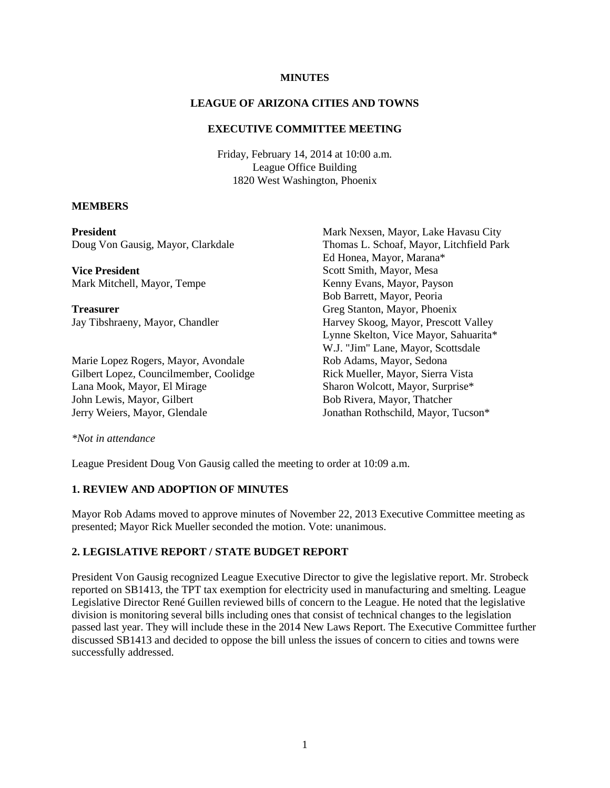#### **MINUTES**

#### **LEAGUE OF ARIZONA CITIES AND TOWNS**

### **EXECUTIVE COMMITTEE MEETING**

Friday, February 14, 2014 at 10:00 a.m. League Office Building 1820 West Washington, Phoenix

#### **MEMBERS**

| <b>President</b>                       | Mark Nexsen, Mayor, Lake Havasu City     |
|----------------------------------------|------------------------------------------|
| Doug Von Gausig, Mayor, Clarkdale      | Thomas L. Schoaf, Mayor, Litchfield Park |
|                                        | Ed Honea, Mayor, Marana*                 |
| <b>Vice President</b>                  | Scott Smith, Mayor, Mesa                 |
| Mark Mitchell, Mayor, Tempe            | Kenny Evans, Mayor, Payson               |
|                                        | Bob Barrett, Mayor, Peoria               |
| <b>Treasurer</b>                       | Greg Stanton, Mayor, Phoenix             |
| Jay Tibshraeny, Mayor, Chandler        | Harvey Skoog, Mayor, Prescott Valley     |
|                                        | Lynne Skelton, Vice Mayor, Sahuarita*    |
|                                        | W.J. "Jim" Lane, Mayor, Scottsdale       |
| Marie Lopez Rogers, Mayor, Avondale    | Rob Adams, Mayor, Sedona                 |
| Gilbert Lopez, Councilmember, Coolidge | Rick Mueller, Mayor, Sierra Vista        |
| Lana Mook, Mayor, El Mirage            | Sharon Wolcott, Mayor, Surprise*         |
| John Lewis, Mayor, Gilbert             | Bob Rivera, Mayor, Thatcher              |
| Jerry Weiers, Mayor, Glendale          | Jonathan Rothschild, Mayor, Tucson*      |
| *Not in attendance                     |                                          |

League President Doug Von Gausig called the meeting to order at 10:09 a.m.

#### **1. REVIEW AND ADOPTION OF MINUTES**

Mayor Rob Adams moved to approve minutes of November 22, 2013 Executive Committee meeting as presented; Mayor Rick Mueller seconded the motion. Vote: unanimous.

#### **2. LEGISLATIVE REPORT / STATE BUDGET REPORT**

President Von Gausig recognized League Executive Director to give the legislative report. Mr. Strobeck reported on SB1413, the TPT tax exemption for electricity used in manufacturing and smelting. League Legislative Director René Guillen reviewed bills of concern to the League. He noted that the legislative division is monitoring several bills including ones that consist of technical changes to the legislation passed last year. They will include these in the 2014 New Laws Report. The Executive Committee further discussed SB1413 and decided to oppose the bill unless the issues of concern to cities and towns were successfully addressed.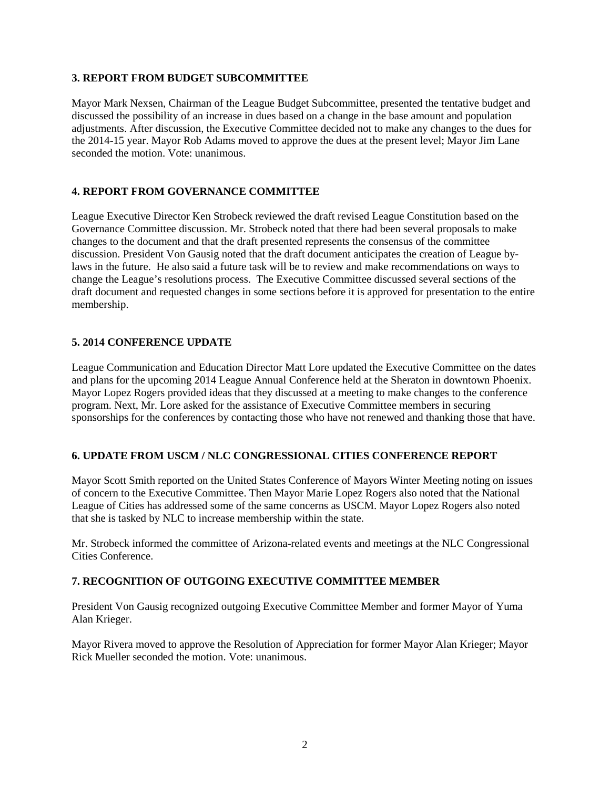### **3. REPORT FROM BUDGET SUBCOMMITTEE**

Mayor Mark Nexsen, Chairman of the League Budget Subcommittee, presented the tentative budget and discussed the possibility of an increase in dues based on a change in the base amount and population adjustments. After discussion, the Executive Committee decided not to make any changes to the dues for the 2014-15 year. Mayor Rob Adams moved to approve the dues at the present level; Mayor Jim Lane seconded the motion. Vote: unanimous.

## **4. REPORT FROM GOVERNANCE COMMITTEE**

League Executive Director Ken Strobeck reviewed the draft revised League Constitution based on the Governance Committee discussion. Mr. Strobeck noted that there had been several proposals to make changes to the document and that the draft presented represents the consensus of the committee discussion. President Von Gausig noted that the draft document anticipates the creation of League bylaws in the future. He also said a future task will be to review and make recommendations on ways to change the League's resolutions process. The Executive Committee discussed several sections of the draft document and requested changes in some sections before it is approved for presentation to the entire membership.

### **5. 2014 CONFERENCE UPDATE**

League Communication and Education Director Matt Lore updated the Executive Committee on the dates and plans for the upcoming 2014 League Annual Conference held at the Sheraton in downtown Phoenix. Mayor Lopez Rogers provided ideas that they discussed at a meeting to make changes to the conference program. Next, Mr. Lore asked for the assistance of Executive Committee members in securing sponsorships for the conferences by contacting those who have not renewed and thanking those that have.

#### **6. UPDATE FROM USCM / NLC CONGRESSIONAL CITIES CONFERENCE REPORT**

Mayor Scott Smith reported on the United States Conference of Mayors Winter Meeting noting on issues of concern to the Executive Committee. Then Mayor Marie Lopez Rogers also noted that the National League of Cities has addressed some of the same concerns as USCM. Mayor Lopez Rogers also noted that she is tasked by NLC to increase membership within the state.

Mr. Strobeck informed the committee of Arizona-related events and meetings at the NLC Congressional Cities Conference.

### **7. RECOGNITION OF OUTGOING EXECUTIVE COMMITTEE MEMBER**

President Von Gausig recognized outgoing Executive Committee Member and former Mayor of Yuma Alan Krieger.

Mayor Rivera moved to approve the Resolution of Appreciation for former Mayor Alan Krieger; Mayor Rick Mueller seconded the motion. Vote: unanimous.